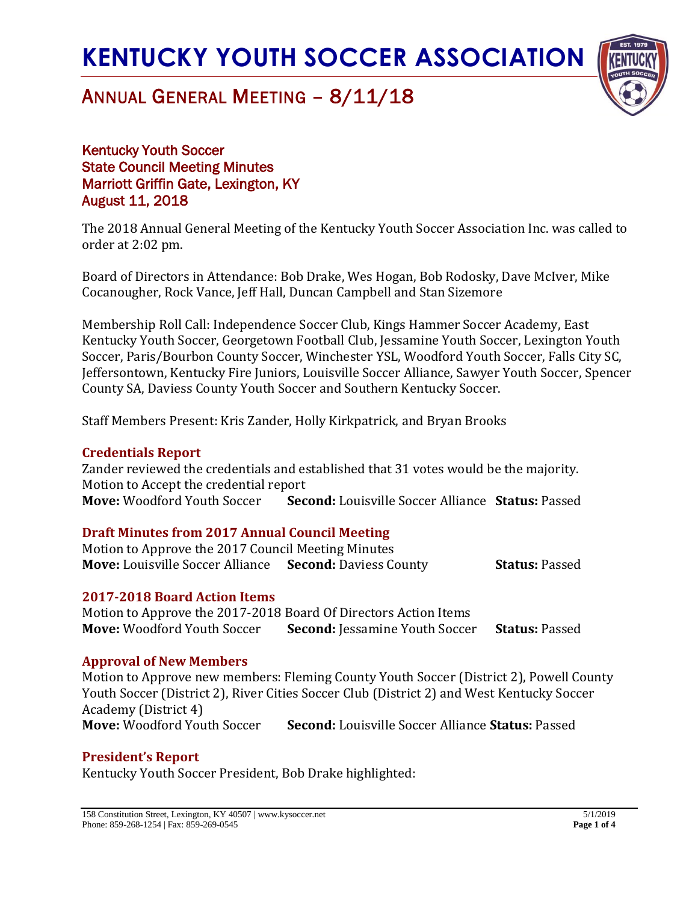

## ANNUAL GENERAL MEETING – 8/11/18

Kentucky Youth Soccer State Council Meeting Minutes Marriott Griffin Gate, Lexington, KY August 11, 2018

The 2018 Annual General Meeting of the Kentucky Youth Soccer Association Inc. was called to order at 2:02 pm.

Board of Directors in Attendance: Bob Drake, Wes Hogan, Bob Rodosky, Dave McIver, Mike Cocanougher, Rock Vance, Jeff Hall, Duncan Campbell and Stan Sizemore

Membership Roll Call: Independence Soccer Club, Kings Hammer Soccer Academy, East Kentucky Youth Soccer, Georgetown Football Club, Jessamine Youth Soccer, Lexington Youth Soccer, Paris/Bourbon County Soccer, Winchester YSL, Woodford Youth Soccer, Falls City SC, Jeffersontown, Kentucky Fire Juniors, Louisville Soccer Alliance, Sawyer Youth Soccer, Spencer County SA, Daviess County Youth Soccer and Southern Kentucky Soccer.

Staff Members Present: Kris Zander, Holly Kirkpatrick, and Bryan Brooks

#### **Credentials Report**

Zander reviewed the credentials and established that 31 votes would be the majority. Motion to Accept the credential report **Move:** Woodford Youth Soccer **Second:** Louisville Soccer Alliance **Status:** Passed

#### **Draft Minutes from 2017 Annual Council Meeting**

Motion to Approve the 2017 Council Meeting Minutes **Move:** Louisville Soccer Alliance **Second:** Daviess County **Status:** Passed

#### **2017-2018 Board Action Items**

Motion to Approve the 2017-2018 Board Of Directors Action Items **Move:** Woodford Youth Soccer **Second:** Jessamine Youth Soccer **Status:** Passed

#### **Approval of New Members**

Motion to Approve new members: Fleming County Youth Soccer (District 2), Powell County Youth Soccer (District 2), River Cities Soccer Club (District 2) and West Kentucky Soccer Academy (District 4) **Move:** Woodford Youth Soccer **Second:** Louisville Soccer Alliance **Status:** Passed

## **President's Report**

Kentucky Youth Soccer President, Bob Drake highlighted: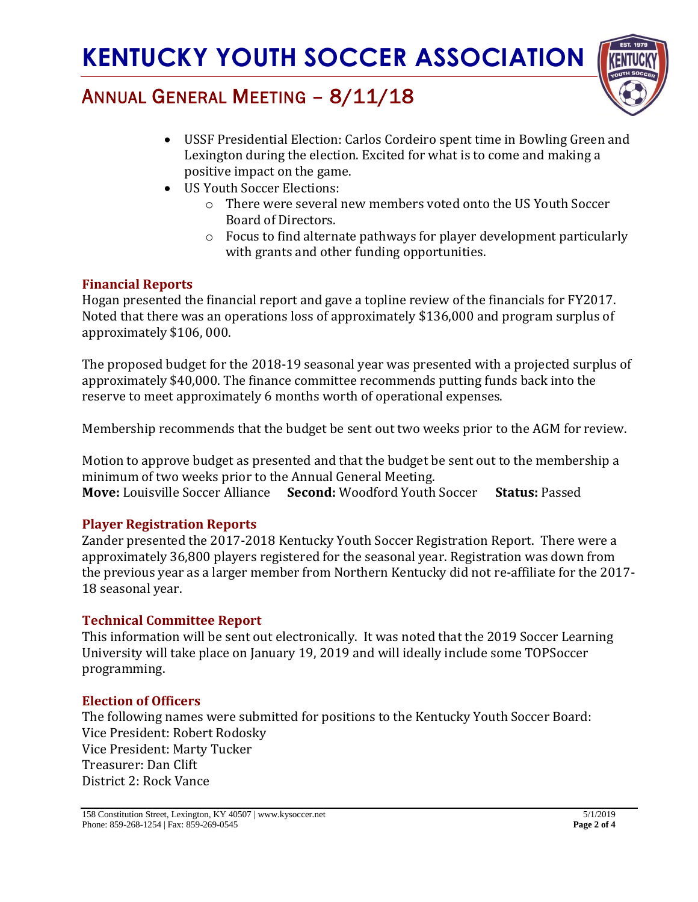

# ANNUAL GENERAL MEETING – 8/11/18

- USSF Presidential Election: Carlos Cordeiro spent time in Bowling Green and Lexington during the election. Excited for what is to come and making a positive impact on the game.
- US Youth Soccer Elections:
	- o There were several new members voted onto the US Youth Soccer Board of Directors.
	- o Focus to find alternate pathways for player development particularly with grants and other funding opportunities.

## **Financial Reports**

Hogan presented the financial report and gave a topline review of the financials for FY2017. Noted that there was an operations loss of approximately \$136,000 and program surplus of approximately \$106, 000.

The proposed budget for the 2018-19 seasonal year was presented with a projected surplus of approximately \$40,000. The finance committee recommends putting funds back into the reserve to meet approximately 6 months worth of operational expenses.

Membership recommends that the budget be sent out two weeks prior to the AGM for review.

Motion to approve budget as presented and that the budget be sent out to the membership a minimum of two weeks prior to the Annual General Meeting. **Move:** Louisville Soccer Alliance **Second:** Woodford Youth Soccer **Status:** Passed

## **Player Registration Reports**

Zander presented the 2017-2018 Kentucky Youth Soccer Registration Report. There were a approximately 36,800 players registered for the seasonal year. Registration was down from the previous year as a larger member from Northern Kentucky did not re-affiliate for the 2017- 18 seasonal year.

## **Technical Committee Report**

This information will be sent out electronically. It was noted that the 2019 Soccer Learning University will take place on January 19, 2019 and will ideally include some TOPSoccer programming.

## **Election of Officers**

The following names were submitted for positions to the Kentucky Youth Soccer Board: Vice President: Robert Rodosky Vice President: Marty Tucker Treasurer: Dan Clift District 2: Rock Vance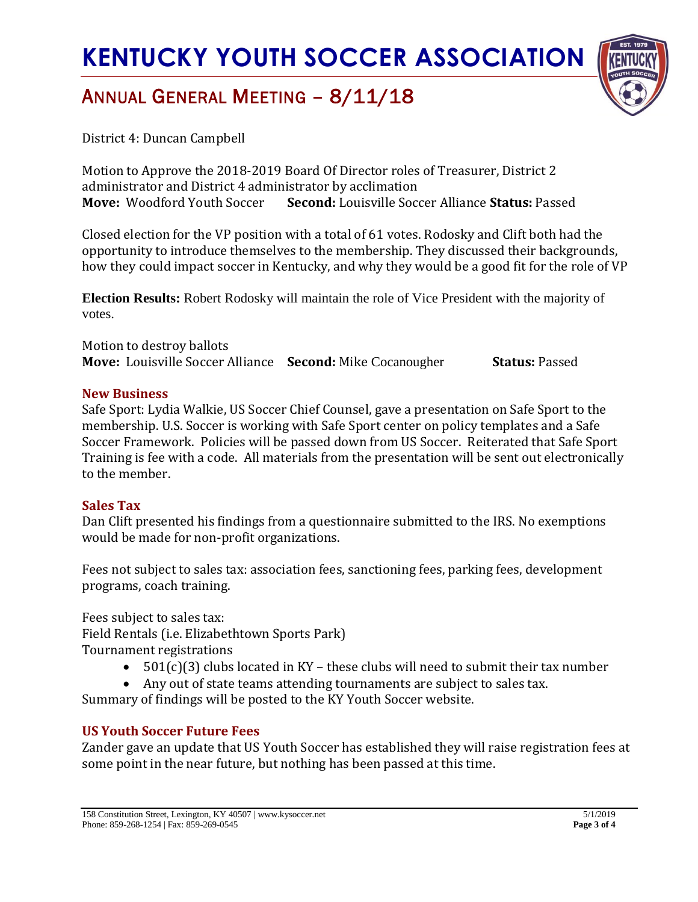## ANNUAL GENERAL MEETING – 8/11/18



District 4: Duncan Campbell

Motion to Approve the 2018-2019 Board Of Director roles of Treasurer, District 2 administrator and District 4 administrator by acclimation **Move:** Woodford Youth Soccer **Second:** Louisville Soccer Alliance **Status:** Passed

Closed election for the VP position with a total of 61 votes. Rodosky and Clift both had the opportunity to introduce themselves to the membership. They discussed their backgrounds, how they could impact soccer in Kentucky, and why they would be a good fit for the role of VP

**Election Results:** Robert Rodosky will maintain the role of Vice President with the majority of votes.

Motion to destroy ballots **Move:** Louisville Soccer Alliance **Second:** Mike Cocanougher **Status:** Passed

#### **New Business**

Safe Sport: Lydia Walkie, US Soccer Chief Counsel, gave a presentation on Safe Sport to the membership. U.S. Soccer is working with Safe Sport center on policy templates and a Safe Soccer Framework. Policies will be passed down from US Soccer. Reiterated that Safe Sport Training is fee with a code. All materials from the presentation will be sent out electronically to the member.

#### **Sales Tax**

Dan Clift presented his findings from a questionnaire submitted to the IRS. No exemptions would be made for non-profit organizations.

Fees not subject to sales tax: association fees, sanctioning fees, parking fees, development programs, coach training.

Fees subject to sales tax:

Field Rentals (i.e. Elizabethtown Sports Park)

Tournament registrations

- $501(c)(3)$  clubs located in KY these clubs will need to submit their tax number
- Any out of state teams attending tournaments are subject to sales tax.

Summary of findings will be posted to the KY Youth Soccer website.

## **US Youth Soccer Future Fees**

Zander gave an update that US Youth Soccer has established they will raise registration fees at some point in the near future, but nothing has been passed at this time.